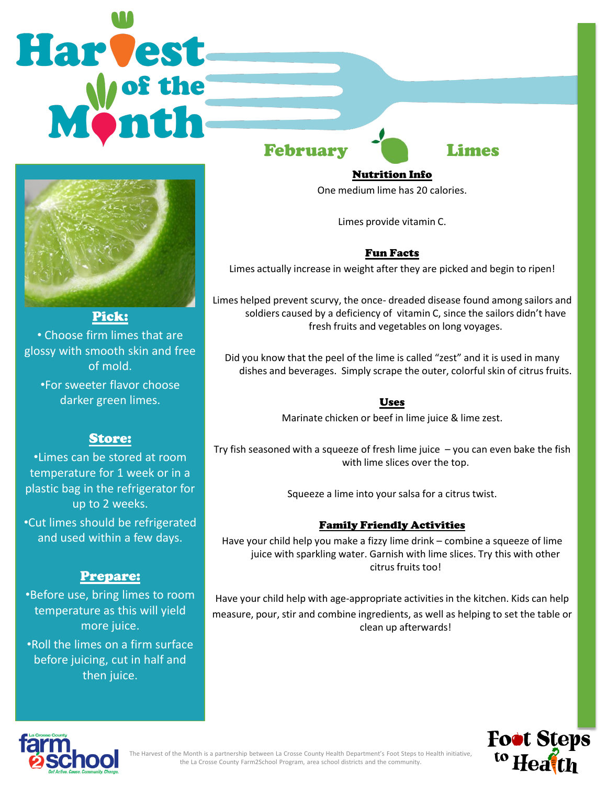# Harvest February Limes



• Choose firm limes that are glossy with smooth skin and free of mold.

•For sweeter flavor choose darker green limes.

# Store:

•Limes can be stored at room temperature for 1 week or in a plastic bag in the refrigerator for up to 2 weeks.

•Cut limes should be refrigerated and used within a few days.

# Prepare:

•Before use, bring limes to room temperature as this will yield more juice. •Roll the limes on a firm surface

before juicing, cut in half and then juice.

Nutrition Info

One medium lime has 20 calories.

Limes provide vitamin C.

## Fun Facts

Limes actually increase in weight after they are picked and begin to ripen!

Limes helped prevent scurvy, the once- dreaded disease found among sailors and soldiers caused by a deficiency of vitamin C, since the sailors didn't have fresh fruits and vegetables on long voyages.

Did you know that the peel of the lime is called "zest" and it is used in many dishes and beverages. Simply scrape the outer, colorful skin of citrus fruits.

## Uses

Marinate chicken or beef in lime juice & lime zest.

Try fish seasoned with a squeeze of fresh lime juice  $-$  you can even bake the fish with lime slices over the top.

Squeeze a lime into your salsa for a citrus twist.

## Family Friendly Activities

Have your child help you make a fizzy lime drink – combine a squeeze of lime juice with sparkling water. Garnish with lime slices. Try this with other citrus fruits too!

Have your child help with age-appropriate activities in the kitchen. Kids can help measure, pour, stir and combine ingredients, as well as helping to set the table or clean up afterwards!